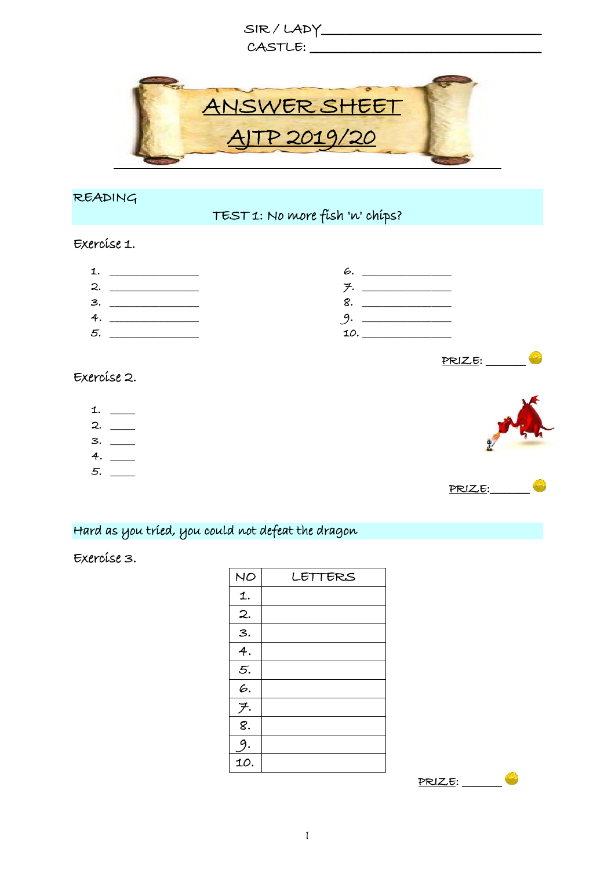

## READING

# TEST 1: No more fish 'n' chips?

#### Exercise 1.

| ∽<br>L. |  |
|---------|--|
| З.      |  |
| 4.      |  |
| 5.      |  |

## Exercise 2.

- 1. \_\_\_\_\_
- $2.$  \_\_  $3.$  \_\_
- $4.$  \_\_
- 5. \_\_\_\_\_



PRIZE:\_\_\_\_\_\_\_\_

 $PRLZE:$ 

# Hard as you tried, you could not defeat the dragon

### Exercise 3.

| NO                         | LETTERS |
|----------------------------|---------|
| 1.                         |         |
| $\mathbf{2}$ .             |         |
| 3.                         |         |
| $\overline{4}$ .           |         |
| $\overline{5}$ .           |         |
| 6.                         |         |
| $\overline{f}$ .           |         |
| $\overline{\mathcal{S}}$ . |         |
| 9.                         |         |
| 10.                        |         |

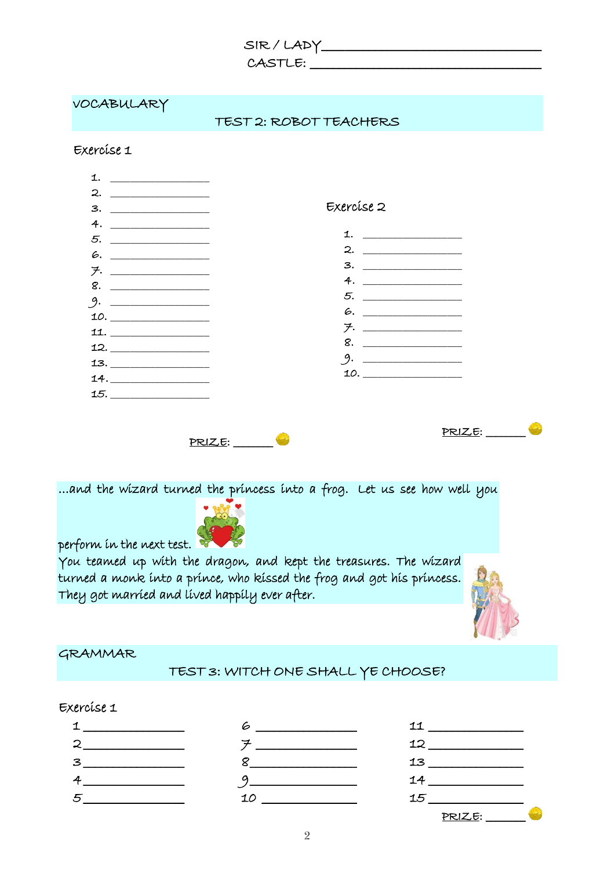| SIR/LADY. |  |
|-----------|--|
|-----------|--|

CASTLE: \_\_\_\_\_\_\_\_\_\_\_\_\_\_\_\_\_\_\_\_\_\_\_\_\_\_\_\_\_\_\_\_\_\_\_\_\_\_\_\_

| VOCABULARY                                                                                                                                                                                                                                                                                                                                                                                                                                          | TEST 2: ROBOT TEACHERS                                                                                                                      |                                                                                                         |
|-----------------------------------------------------------------------------------------------------------------------------------------------------------------------------------------------------------------------------------------------------------------------------------------------------------------------------------------------------------------------------------------------------------------------------------------------------|---------------------------------------------------------------------------------------------------------------------------------------------|---------------------------------------------------------------------------------------------------------|
| Exercíse 1                                                                                                                                                                                                                                                                                                                                                                                                                                          |                                                                                                                                             |                                                                                                         |
| 1. $\qquad \qquad$                                                                                                                                                                                                                                                                                                                                                                                                                                  |                                                                                                                                             |                                                                                                         |
|                                                                                                                                                                                                                                                                                                                                                                                                                                                     |                                                                                                                                             |                                                                                                         |
| $3. \begin{tabular}{@{}c@{\hspace{1em}}l} \hline \rule[1.2ex]{1em}{0.4pt} \multicolumn{3}{c }{\hspace{1em}} \multicolumn{3}{c }{\hspace{1em}} \multicolumn{3}{c }{\hspace{1em}} \multicolumn{3}{c }{\hspace{1em}} \multicolumn{3}{c }{\hspace{1em}} \multicolumn{3}{c }{\hspace{1em}} \multicolumn{3}{c }{\hspace{1em}} \multicolumn{3}{c }{\hspace{1em}} \multicolumn{3}{c }{\hspace{1em}} \multicolumn{3}{c }{\hspace{1em}} \multicolumn{3}{c }{$ | Exercíse 2                                                                                                                                  |                                                                                                         |
| 4. $\overline{\phantom{a}1}$                                                                                                                                                                                                                                                                                                                                                                                                                        |                                                                                                                                             |                                                                                                         |
|                                                                                                                                                                                                                                                                                                                                                                                                                                                     |                                                                                                                                             | 1. $\qquad \qquad$                                                                                      |
|                                                                                                                                                                                                                                                                                                                                                                                                                                                     |                                                                                                                                             | 3. _________________                                                                                    |
| <u> チ・__________________</u>                                                                                                                                                                                                                                                                                                                                                                                                                        |                                                                                                                                             |                                                                                                         |
|                                                                                                                                                                                                                                                                                                                                                                                                                                                     |                                                                                                                                             |                                                                                                         |
| 9. $\qquad$                                                                                                                                                                                                                                                                                                                                                                                                                                         |                                                                                                                                             |                                                                                                         |
| $\mathbf{11.} \begin{tabular}{ c c c } \hline & \multicolumn{3}{ c }{\textbf{11}} & \multicolumn{3}{ c }{\textbf{12}} \\ \hline \multicolumn{3}{ c }{\textbf{12}} & \multicolumn{3}{ c }{\textbf{13}} \\ \hline \multicolumn{3}{ c }{\textbf{14}} & \multicolumn{3}{ c }{\textbf{15}} \\ \hline \multicolumn{3}{ c }{\textbf{14}} & \multicolumn{3}{ c }{\textbf{15}} \\ \hline \multicolumn{3}{ c }{\textbf{16}} & \multicolumn{3}{ c }{$          |                                                                                                                                             | <u> チ・__________</u>                                                                                    |
| 12. _________________                                                                                                                                                                                                                                                                                                                                                                                                                               |                                                                                                                                             |                                                                                                         |
|                                                                                                                                                                                                                                                                                                                                                                                                                                                     |                                                                                                                                             |                                                                                                         |
| $14. \underline{\hspace{1.5cm}}$                                                                                                                                                                                                                                                                                                                                                                                                                    |                                                                                                                                             |                                                                                                         |
|                                                                                                                                                                                                                                                                                                                                                                                                                                                     |                                                                                                                                             |                                                                                                         |
|                                                                                                                                                                                                                                                                                                                                                                                                                                                     | PRIZE:<br>and the wizard turned the princess into a frog. Let us see how well you                                                           |                                                                                                         |
|                                                                                                                                                                                                                                                                                                                                                                                                                                                     | You teamed up with the dragon, and kept the treasures. The wizard<br>turned a monk into a prince, who kissed the frog and got his princess. |                                                                                                         |
| perform in the next test.                                                                                                                                                                                                                                                                                                                                                                                                                           | They got married and lived happily ever after.                                                                                              |                                                                                                         |
|                                                                                                                                                                                                                                                                                                                                                                                                                                                     |                                                                                                                                             |                                                                                                         |
| GRAMMAR                                                                                                                                                                                                                                                                                                                                                                                                                                             | TEST 3: WITCH ONE SHALL YE CHOOSE?                                                                                                          |                                                                                                         |
|                                                                                                                                                                                                                                                                                                                                                                                                                                                     |                                                                                                                                             |                                                                                                         |
| Exercíse 1                                                                                                                                                                                                                                                                                                                                                                                                                                          |                                                                                                                                             |                                                                                                         |
|                                                                                                                                                                                                                                                                                                                                                                                                                                                     | $6 \underline{\hspace{1cm}}$<br>$\overline{\mathcal{F}} \xrightarrow{\hspace{5mm}} \xrightarrow{\hspace{5mm}}$                              | $\begin{tabular}{c} 11 & \textcolor{red}{\textbf{11}} \end{tabular}$<br>$12 \underline{\hspace{1.5cm}}$ |

8 \_\_\_\_\_\_\_\_\_\_\_\_\_\_\_\_\_\_ 9 \_\_\_\_\_\_\_\_\_\_\_\_\_\_\_\_\_\_ 10 \_\_\_\_\_\_\_\_\_\_\_\_\_\_\_\_

13 \_\_\_\_\_\_\_\_\_\_\_\_\_\_\_\_ 14 \_\_\_\_\_\_\_\_\_\_\_\_\_\_\_\_ 15 \_\_\_\_\_\_\_\_\_\_\_\_\_\_\_\_

PRIZE: \_\_\_\_\_\_\_\_

 $3$ 4 \_\_\_\_\_\_\_\_\_\_\_\_\_\_\_\_\_ 5 \_\_\_\_\_\_\_\_\_\_\_\_\_\_\_\_\_